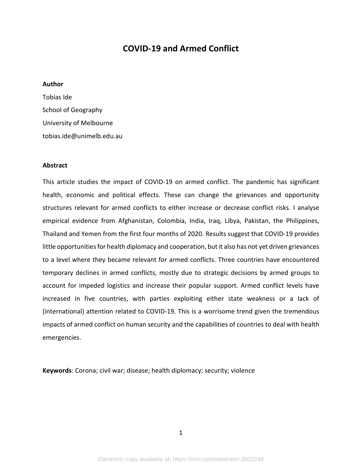# **COVID-19 and Armed Conflict**

## **Author**

| Tobias Ide                |
|---------------------------|
| School of Geography       |
| University of Melbourne   |
| tobias.ide@unimelb.edu.au |

## **Abstract**

This article studies the impact of COVID-19 on armed conflict. The pandemic has significant health, economic and political effects. These can change the grievances and opportunity structures relevant for armed conflicts to either increase or decrease conflict risks. I analyse empirical evidence from Afghanistan, Colombia, India, Iraq, Libya, Pakistan, the Philippines, Thailand and Yemen from the first four months of 2020. Results suggest that COVID-19 provides little opportunities for health diplomacy and cooperation, but it also has not yet driven grievances to a level where they became relevant for armed conflicts. Three countries have encountered temporary declines in armed conflicts, mostly due to strategic decisions by armed groups to account for impeded logistics and increase their popular support. Armed conflict levels have increased in five countries, with parties exploiting either state weakness or a lack of (international) attention related to COVID-19. This is a worrisome trend given the tremendous impacts of armed conflict on human security and the capabilities of countries to deal with health emergencies.

**Keywords**: Corona; civil war; disease; health diplomacy; security; violence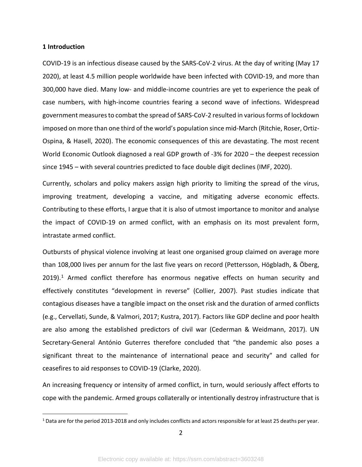#### **1 Introduction**

COVID-19 is an infectious disease caused by the SARS-CoV-2 virus. At the day of writing (May 17 2020), at least 4.5 million people worldwide have been infected with COVID-19, and more than 300,000 have died. Many low- and middle-income countries are yet to experience the peak of case numbers, with high-income countries fearing a second wave of infections. Widespread government measuresto combat the spread of SARS-CoV-2 resulted in various forms of lockdown imposed on more than one third of the world's population since mid-March (Ritchie, Roser, Ortiz-Ospina, & Hasell, 2020). The economic consequences of this are devastating. The most recent World Economic Outlook diagnosed a real GDP growth of -3% for 2020 – the deepest recession since 1945 – with several countries predicted to face double digit declines (IMF, 2020).

Currently, scholars and policy makers assign high priority to limiting the spread of the virus, improving treatment, developing a vaccine, and mitigating adverse economic effects. Contributing to these efforts, I argue that it is also of utmost importance to monitor and analyse the impact of COVID-19 on armed conflict, with an emphasis on its most prevalent form, intrastate armed conflict.

Outbursts of physical violence involving at least one organised group claimed on average more than 108,000 lives per annum for the last five years on record (Pettersson, Högbladh, & Öberg,  $2019$  $2019$  $2019$ ).<sup>1</sup> Armed conflict therefore has enormous negative effects on human security and effectively constitutes "development in reverse" (Collier, 2007). Past studies indicate that contagious diseases have a tangible impact on the onset risk and the duration of armed conflicts (e.g., Cervellati, Sunde, & Valmori, 2017; Kustra, 2017). Factors like GDP decline and poor health are also among the established predictors of civil war (Cederman & Weidmann, 2017). UN Secretary-General António Guterres therefore concluded that "the pandemic also poses a significant threat to the maintenance of international peace and security" and called for ceasefires to aid responses to COVID-19 (Clarke, 2020).

An increasing frequency or intensity of armed conflict, in turn, would seriously affect efforts to cope with the pandemic. Armed groups collaterally or intentionally destroy infrastructure that is

<span id="page-1-0"></span> <sup>1</sup> Data are for the period 2013-2018 and only includes conflicts and actors responsible for at least 25 deaths per year.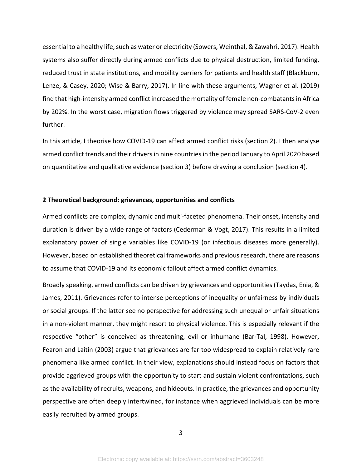essential to a healthy life, such as water or electricity (Sowers, Weinthal, & Zawahri, 2017). Health systems also suffer directly during armed conflicts due to physical destruction, limited funding, reduced trust in state institutions, and mobility barriers for patients and health staff (Blackburn, Lenze, & Casey, 2020; Wise & Barry, 2017). In line with these arguments, Wagner et al. (2019) find that high-intensity armed conflict increased the mortality of female non-combatants in Africa by 202%. In the worst case, migration flows triggered by violence may spread SARS-CoV-2 even further.

In this article, I theorise how COVID-19 can affect armed conflict risks (section 2). I then analyse armed conflict trends and their drivers in nine countries in the period January to April 2020 based on quantitative and qualitative evidence (section 3) before drawing a conclusion (section 4).

#### **2 Theoretical background: grievances, opportunities and conflicts**

Armed conflicts are complex, dynamic and multi-faceted phenomena. Their onset, intensity and duration is driven by a wide range of factors (Cederman & Vogt, 2017). This results in a limited explanatory power of single variables like COVID-19 (or infectious diseases more generally). However, based on established theoretical frameworks and previous research, there are reasons to assume that COVID-19 and its economic fallout affect armed conflict dynamics.

Broadly speaking, armed conflicts can be driven by grievances and opportunities (Taydas, Enia, & James, 2011). Grievances refer to intense perceptions of inequality or unfairness by individuals or social groups. If the latter see no perspective for addressing such unequal or unfair situations in a non-violent manner, they might resort to physical violence. This is especially relevant if the respective "other" is conceived as threatening, evil or inhumane (Bar-Tal, 1998). However, Fearon and Laitin (2003) argue that grievances are far too widespread to explain relatively rare phenomena like armed conflict. In their view, explanations should instead focus on factors that provide aggrieved groups with the opportunity to start and sustain violent confrontations, such as the availability of recruits, weapons, and hideouts. In practice, the grievances and opportunity perspective are often deeply intertwined, for instance when aggrieved individuals can be more easily recruited by armed groups.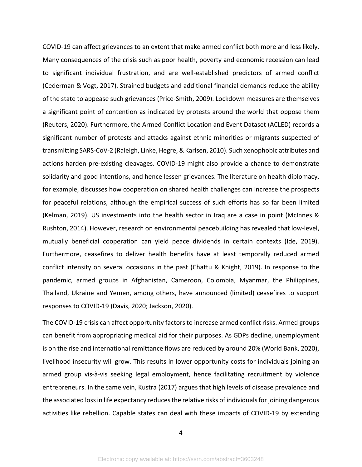COVID-19 can affect grievances to an extent that make armed conflict both more and less likely. Many consequences of the crisis such as poor health, poverty and economic recession can lead to significant individual frustration, and are well-established predictors of armed conflict (Cederman & Vogt, 2017). Strained budgets and additional financial demands reduce the ability of the state to appease such grievances (Price-Smith, 2009). Lockdown measures are themselves a significant point of contention as indicated by protests around the world that oppose them (Reuters, 2020). Furthermore, the Armed Conflict Location and Event Dataset (ACLED) records a significant number of protests and attacks against ethnic minorities or migrants suspected of transmitting SARS-CoV-2 (Raleigh, Linke, Hegre, & Karlsen, 2010). Such xenophobic attributes and actions harden pre-existing cleavages. COVID-19 might also provide a chance to demonstrate solidarity and good intentions, and hence lessen grievances. The literature on health diplomacy, for example, discusses how cooperation on shared health challenges can increase the prospects for peaceful relations, although the empirical success of such efforts has so far been limited (Kelman, 2019). US investments into the health sector in Iraq are a case in point (McInnes & Rushton, 2014). However, research on environmental peacebuilding has revealed that low-level, mutually beneficial cooperation can yield peace dividends in certain contexts (Ide, 2019). Furthermore, ceasefires to deliver health benefits have at least temporally reduced armed conflict intensity on several occasions in the past (Chattu & Knight, 2019). In response to the pandemic, armed groups in Afghanistan, Cameroon, Colombia, Myanmar, the Philippines, Thailand, Ukraine and Yemen, among others, have announced (limited) ceasefires to support responses to COVID-19 (Davis, 2020; Jackson, 2020).

The COVID-19 crisis can affect opportunity factors to increase armed conflict risks. Armed groups can benefit from appropriating medical aid for their purposes. As GDPs decline, unemployment is on the rise and international remittance flows are reduced by around 20% (World Bank, 2020), livelihood insecurity will grow. This results in lower opportunity costs for individuals joining an armed group vis-à-vis seeking legal employment, hence facilitating recruitment by violence entrepreneurs. In the same vein, Kustra (2017) argues that high levels of disease prevalence and the associated loss in life expectancy reduces the relative risks of individuals for joining dangerous activities like rebellion. Capable states can deal with these impacts of COVID-19 by extending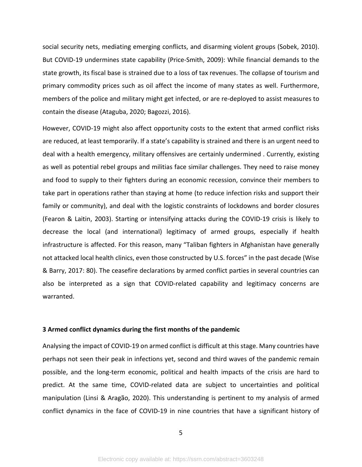social security nets, mediating emerging conflicts, and disarming violent groups (Sobek, 2010). But COVID-19 undermines state capability (Price-Smith, 2009): While financial demands to the state growth, its fiscal base is strained due to a loss of tax revenues. The collapse of tourism and primary commodity prices such as oil affect the income of many states as well. Furthermore, members of the police and military might get infected, or are re-deployed to assist measures to contain the disease (Ataguba, 2020; Bagozzi, 2016).

However, COVID-19 might also affect opportunity costs to the extent that armed conflict risks are reduced, at least temporarily. If a state's capability is strained and there is an urgent need to deal with a health emergency, military offensives are certainly undermined . Currently, existing as well as potential rebel groups and militias face similar challenges. They need to raise money and food to supply to their fighters during an economic recession, convince their members to take part in operations rather than staying at home (to reduce infection risks and support their family or community), and deal with the logistic constraints of lockdowns and border closures (Fearon & Laitin, 2003). Starting or intensifying attacks during the COVID-19 crisis is likely to decrease the local (and international) legitimacy of armed groups, especially if health infrastructure is affected. For this reason, many "Taliban fighters in Afghanistan have generally not attacked local health clinics, even those constructed by U.S. forces" in the past decade (Wise & Barry, 2017: 80). The ceasefire declarations by armed conflict parties in several countries can also be interpreted as a sign that COVID-related capability and legitimacy concerns are warranted.

## **3 Armed conflict dynamics during the first months of the pandemic**

Analysing the impact of COVID-19 on armed conflict is difficult at this stage. Many countries have perhaps not seen their peak in infections yet, second and third waves of the pandemic remain possible, and the long-term economic, political and health impacts of the crisis are hard to predict. At the same time, COVID-related data are subject to uncertainties and political manipulation (Linsi & Aragão, 2020). This understanding is pertinent to my analysis of armed conflict dynamics in the face of COVID-19 in nine countries that have a significant history of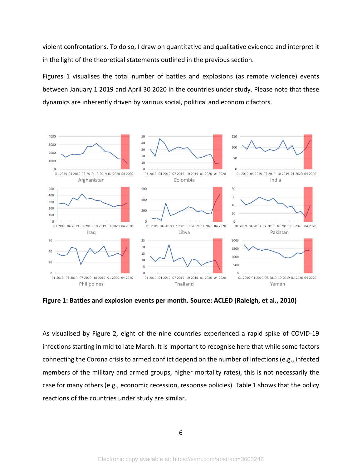violent confrontations. To do so, I draw on quantitative and qualitative evidence and interpret it in the light of the theoretical statements outlined in the previous section.

Figures 1 visualises the total number of battles and explosions (as remote violence) events between January 1 2019 and April 30 2020 in the countries under study. Please note that these dynamics are inherently driven by various social, political and economic factors.



**Figure 1: Battles and explosion events per month. Source: ACLED (Raleigh, et al., 2010)**

As visualised by Figure 2, eight of the nine countries experienced a rapid spike of COVID-19 infections starting in mid to late March. It is important to recognise here that while some factors connecting the Corona crisis to armed conflict depend on the number of infections (e.g., infected members of the military and armed groups, higher mortality rates), this is not necessarily the case for many others (e.g., economic recession, response policies). Table 1 shows that the policy reactions of the countries under study are similar.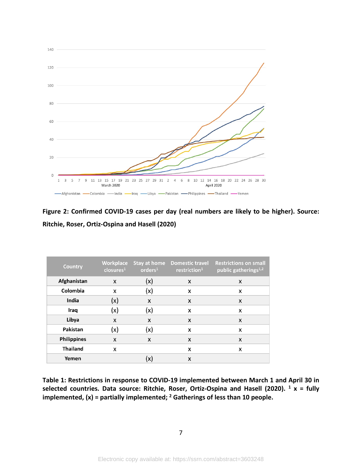

**Figure 2: Confirmed COVID-19 cases per day (real numbers are likely to be higher). Source: Ritchie, Roser, Ortiz-Ospina and Hasell (2020)**

| <b>Country</b>     | <b>Workplace</b><br>$c$ losures <sup>1</sup> | Stay at home<br>orders <sup>1</sup> | <b>Domestic travel</b><br>restriction <sup>1</sup> | <b>Restrictions on small</b><br>public gatherings <sup>1,2</sup> |
|--------------------|----------------------------------------------|-------------------------------------|----------------------------------------------------|------------------------------------------------------------------|
| Afghanistan        | X                                            | (x)                                 | X                                                  | X                                                                |
| Colombia           | x                                            | (x)                                 | x                                                  | x                                                                |
| India              | (x)                                          | X                                   | X                                                  | X                                                                |
| Iraq               | (x)                                          | (x)                                 | X                                                  | x                                                                |
| Libya              | X                                            | X                                   | x                                                  | X                                                                |
| Pakistan           | (x)                                          | (x)                                 | X                                                  | X                                                                |
| <b>Philippines</b> | X                                            | X                                   | x                                                  | x                                                                |
| <b>Thailand</b>    | X                                            |                                     | X                                                  | x                                                                |
| Yemen              |                                              | (x)                                 | X                                                  |                                                                  |

**Table 1: Restrictions in response to COVID-19 implemented between March 1 and April 30 in**  selected countries. Data source: Ritchie, Roser, Ortiz-Ospina and Hasell (2020). <sup>1</sup> x = fully **implemented, (x) = partially implemented; 2 Gatherings of less than 10 people.**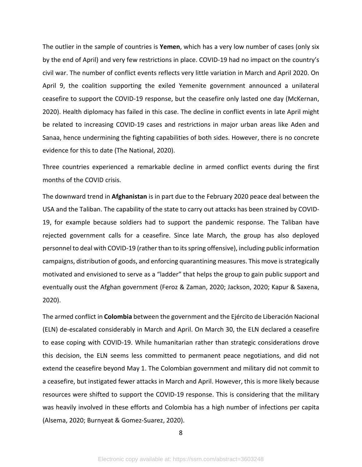The outlier in the sample of countries is **Yemen**, which has a very low number of cases (only six by the end of April) and very few restrictions in place. COVID-19 had no impact on the country's civil war. The number of conflict events reflects very little variation in March and April 2020. On April 9, the coalition supporting the exiled Yemenite government announced a unilateral ceasefire to support the COVID-19 response, but the ceasefire only lasted one day (McKernan, 2020). Health diplomacy has failed in this case. The decline in conflict events in late April might be related to increasing COVID-19 cases and restrictions in major urban areas like Aden and Sanaa, hence undermining the fighting capabilities of both sides. However, there is no concrete evidence for this to date (The National, 2020).

Three countries experienced a remarkable decline in armed conflict events during the first months of the COVID crisis.

The downward trend in **Afghanistan** is in part due to the February 2020 peace deal between the USA and the Taliban. The capability of the state to carry out attacks has been strained by COVID-19, for example because soldiers had to support the pandemic response. The Taliban have rejected government calls for a ceasefire. Since late March, the group has also deployed personnel to deal with COVID-19 (rather than to its spring offensive), including public information campaigns, distribution of goods, and enforcing quarantining measures. This move is strategically motivated and envisioned to serve as a "ladder" that helps the group to gain public support and eventually oust the Afghan government (Feroz & Zaman, 2020; Jackson, 2020; Kapur & Saxena, 2020).

The armed conflict in **Colombia** between the government and the Ejército de Liberación Nacional (ELN) de-escalated considerably in March and April. On March 30, the ELN declared a ceasefire to ease coping with COVID-19. While humanitarian rather than strategic considerations drove this decision, the ELN seems less committed to permanent peace negotiations, and did not extend the ceasefire beyond May 1. The Colombian government and military did not commit to a ceasefire, but instigated fewer attacks in March and April. However, this is more likely because resources were shifted to support the COVID-19 response. This is considering that the military was heavily involved in these efforts and Colombia has a high number of infections per capita (Alsema, 2020; Burnyeat & Gomez-Suarez, 2020).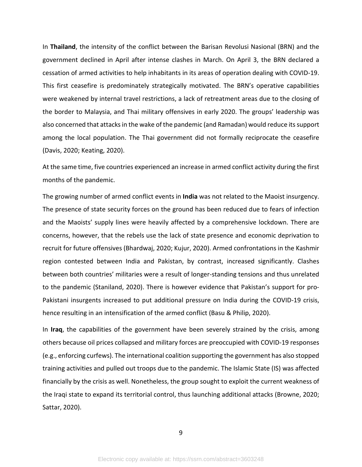In **Thailand**, the intensity of the conflict between the Barisan Revolusi Nasional (BRN) and the government declined in April after intense clashes in March. On April 3, the BRN declared a cessation of armed activities to help inhabitants in its areas of operation dealing with COVID-19. This first ceasefire is predominately strategically motivated. The BRN's operative capabilities were weakened by internal travel restrictions, a lack of retreatment areas due to the closing of the border to Malaysia, and Thai military offensives in early 2020. The groups' leadership was also concerned that attacks in the wake of the pandemic (and Ramadan) would reduce its support among the local population. The Thai government did not formally reciprocate the ceasefire (Davis, 2020; Keating, 2020).

At the same time, five countries experienced an increase in armed conflict activity during the first months of the pandemic.

The growing number of armed conflict events in **India** was not related to the Maoist insurgency. The presence of state security forces on the ground has been reduced due to fears of infection and the Maoists' supply lines were heavily affected by a comprehensive lockdown. There are concerns, however, that the rebels use the lack of state presence and economic deprivation to recruit for future offensives (Bhardwaj, 2020; Kujur, 2020). Armed confrontations in the Kashmir region contested between India and Pakistan, by contrast, increased significantly. Clashes between both countries' militaries were a result of longer-standing tensions and thus unrelated to the pandemic (Staniland, 2020). There is however evidence that Pakistan's support for pro-Pakistani insurgents increased to put additional pressure on India during the COVID-19 crisis, hence resulting in an intensification of the armed conflict (Basu & Philip, 2020).

In **Iraq**, the capabilities of the government have been severely strained by the crisis, among others because oil prices collapsed and military forces are preoccupied with COVID-19 responses (e.g., enforcing curfews). The international coalition supporting the government has also stopped training activities and pulled out troops due to the pandemic. The Islamic State (IS) was affected financially by the crisis as well. Nonetheless, the group sought to exploit the current weakness of the Iraqi state to expand its territorial control, thus launching additional attacks (Browne, 2020; Sattar, 2020).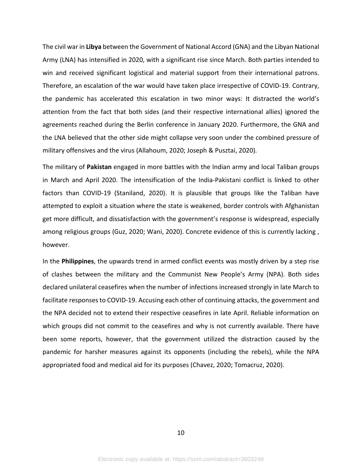The civil war in **Libya** between the Government of National Accord (GNA) and the Libyan National Army (LNA) has intensified in 2020, with a significant rise since March. Both parties intended to win and received significant logistical and material support from their international patrons. Therefore, an escalation of the war would have taken place irrespective of COVID-19. Contrary, the pandemic has accelerated this escalation in two minor ways: It distracted the world's attention from the fact that both sides (and their respective international allies) ignored the agreements reached during the Berlin conference in January 2020. Furthermore, the GNA and the LNA believed that the other side might collapse very soon under the combined pressure of military offensives and the virus (Allahoum, 2020; Joseph & Pusztai, 2020).

The military of **Pakistan** engaged in more battles with the Indian army and local Taliban groups in March and April 2020. The intensification of the India-Pakistani conflict is linked to other factors than COVID-19 (Staniland, 2020). It is plausible that groups like the Taliban have attempted to exploit a situation where the state is weakened, border controls with Afghanistan get more difficult, and dissatisfaction with the government's response is widespread, especially among religious groups (Guz, 2020; Wani, 2020). Concrete evidence of this is currently lacking , however.

In the **Philippines**, the upwards trend in armed conflict events was mostly driven by a step rise of clashes between the military and the Communist New People's Army (NPA). Both sides declared unilateral ceasefires when the number of infections increased strongly in late March to facilitate responses to COVID-19. Accusing each other of continuing attacks, the government and the NPA decided not to extend their respective ceasefires in late April. Reliable information on which groups did not commit to the ceasefires and why is not currently available. There have been some reports, however, that the government utilized the distraction caused by the pandemic for harsher measures against its opponents (including the rebels), while the NPA appropriated food and medical aid for its purposes (Chavez, 2020; Tomacruz, 2020).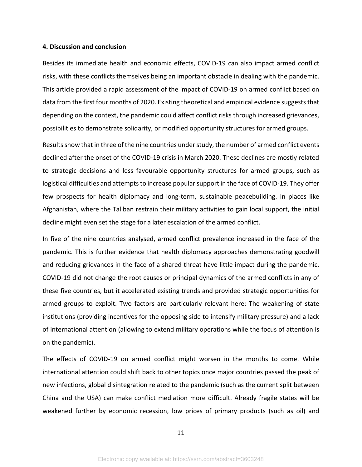#### **4. Discussion and conclusion**

Besides its immediate health and economic effects, COVID-19 can also impact armed conflict risks, with these conflicts themselves being an important obstacle in dealing with the pandemic. This article provided a rapid assessment of the impact of COVID-19 on armed conflict based on data from the first four months of 2020. Existing theoretical and empirical evidence suggests that depending on the context, the pandemic could affect conflict risks through increased grievances, possibilities to demonstrate solidarity, or modified opportunity structures for armed groups.

Results show that in three of the nine countries under study, the number of armed conflict events declined after the onset of the COVID-19 crisis in March 2020. These declines are mostly related to strategic decisions and less favourable opportunity structures for armed groups, such as logistical difficulties and attempts to increase popular support in the face of COVID-19. They offer few prospects for health diplomacy and long-term, sustainable peacebuilding. In places like Afghanistan, where the Taliban restrain their military activities to gain local support, the initial decline might even set the stage for a later escalation of the armed conflict.

In five of the nine countries analysed, armed conflict prevalence increased in the face of the pandemic. This is further evidence that health diplomacy approaches demonstrating goodwill and reducing grievances in the face of a shared threat have little impact during the pandemic. COVID-19 did not change the root causes or principal dynamics of the armed conflicts in any of these five countries, but it accelerated existing trends and provided strategic opportunities for armed groups to exploit. Two factors are particularly relevant here: The weakening of state institutions (providing incentives for the opposing side to intensify military pressure) and a lack of international attention (allowing to extend military operations while the focus of attention is on the pandemic).

The effects of COVID-19 on armed conflict might worsen in the months to come. While international attention could shift back to other topics once major countries passed the peak of new infections, global disintegration related to the pandemic (such as the current split between China and the USA) can make conflict mediation more difficult. Already fragile states will be weakened further by economic recession, low prices of primary products (such as oil) and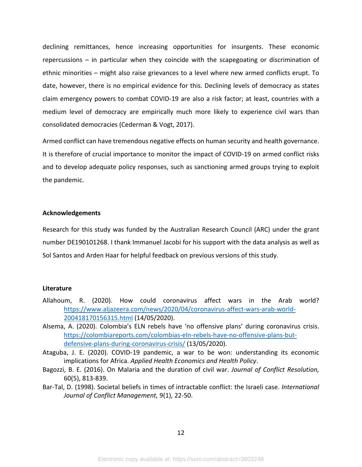declining remittances, hence increasing opportunities for insurgents. These economic repercussions – in particular when they coincide with the scapegoating or discrimination of ethnic minorities – might also raise grievances to a level where new armed conflicts erupt. To date, however, there is no empirical evidence for this. Declining levels of democracy as states claim emergency powers to combat COVID-19 are also a risk factor; at least, countries with a medium level of democracy are empirically much more likely to experience civil wars than consolidated democracies (Cederman & Vogt, 2017).

Armed conflict can have tremendous negative effects on human security and health governance. It is therefore of crucial importance to monitor the impact of COVID-19 on armed conflict risks and to develop adequate policy responses, such as sanctioning armed groups trying to exploit the pandemic.

## **Acknowledgements**

Research for this study was funded by the Australian Research Council (ARC) under the grant number DE190101268. I thank Immanuel Jacobi for his support with the data analysis as well as Sol Santos and Arden Haar for helpful feedback on previous versions of this study.

# **Literature**

- Allahoum, R. (2020). How could coronavirus affect wars in the Arab world? [https://www.aljazeera.com/news/2020/04/coronavirus-affect-wars-arab-world-](https://www.aljazeera.com/news/2020/04/coronavirus-affect-wars-arab-world-200418170156315.html)[200418170156315.html](https://www.aljazeera.com/news/2020/04/coronavirus-affect-wars-arab-world-200418170156315.html) (14/05/2020).
- Alsema, A. (2020). Colombia's ELN rebels have 'no offensive plans' during coronavirus crisis. [https://colombiareports.com/colombias-eln-rebels-have-no-offensive-plans-but](https://colombiareports.com/colombias-eln-rebels-have-no-offensive-plans-but-defensive-plans-during-coronavirus-crisis/)[defensive-plans-during-coronavirus-crisis/](https://colombiareports.com/colombias-eln-rebels-have-no-offensive-plans-but-defensive-plans-during-coronavirus-crisis/) (13/05/2020).
- Ataguba, J. E. (2020). COVID‑19 pandemic, a war to be won: understanding its economic implications for Africa. *Applied Health Economics and Health Policy*.
- Bagozzi, B. E. (2016). On Malaria and the duration of civil war. *Journal of Conflict Resolution,*  60(5), 813-839.
- Bar-Tal, D. (1998). Societal beliefs in times of intractable conflict: the Israeli case. *International Journal of Conflict Management,* 9(1), 22-50.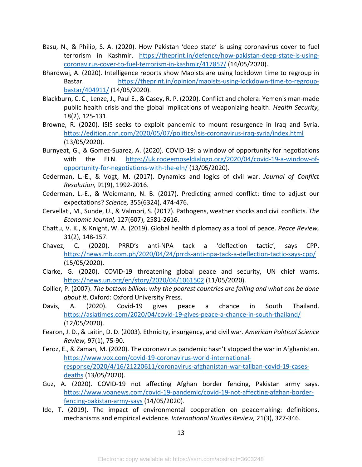- Basu, N., & Philip, S. A. (2020). How Pakistan 'deep state' is using coronavirus cover to fuel terrorism in Kashmir. [https://theprint.in/defence/how-pakistan-deep-state-is-using](https://theprint.in/defence/how-pakistan-deep-state-is-using-coronavirus-cover-to-fuel-terrorism-in-kashmir/417857/)[coronavirus-cover-to-fuel-terrorism-in-kashmir/417857/](https://theprint.in/defence/how-pakistan-deep-state-is-using-coronavirus-cover-to-fuel-terrorism-in-kashmir/417857/) (14/05/2020).
- Bhardwaj, A. (2020). Intelligence reports show Maoists are using lockdown time to regroup in Bastar. [https://theprint.in/opinion/maoists-using-lockdown-time-to-regroup](https://theprint.in/opinion/maoists-using-lockdown-time-to-regroup-bastar/404911/)[bastar/404911/](https://theprint.in/opinion/maoists-using-lockdown-time-to-regroup-bastar/404911/) (14/05/2020).
- Blackburn, C. C., Lenze, J., Paul E., & Casey, R. P. (2020). Conflict and cholera: Yemen's man-made public health crisis and the global implications of weaponizing health. *Health Security,*  18(2), 125-131.
- Browne, R. (2020). ISIS seeks to exploit pandemic to mount resurgence in Iraq and Syria. <https://edition.cnn.com/2020/05/07/politics/isis-coronavirus-iraq-syria/index.html> (13/05/2020).
- Burnyeat, G., & Gomez-Suarez, A. (2020). COVID-19: a window of opportunity for negotiations with the ELN. [https://uk.rodeemoseldialogo.org/2020/04/covid-19-a-window-of](https://uk.rodeemoseldialogo.org/2020/04/covid-19-a-window-of-opportunity-for-negotiations-with-the-eln/)[opportunity-for-negotiations-with-the-eln/](https://uk.rodeemoseldialogo.org/2020/04/covid-19-a-window-of-opportunity-for-negotiations-with-the-eln/) (13/05/2020).
- Cederman, L.-E., & Vogt, M. (2017). Dynamics and logics of civil war. *Journal of Conflict Resolution,* 91(9), 1992-2016.
- Cederman, L.-E., & Weidmann, N. B. (2017). Predicting armed conflict: time to adjust our expectations? *Science,* 355(6324), 474-476.
- Cervellati, M., Sunde, U., & Valmori, S. (2017). Pathogens, weather shocks and civil conflicts. *The Economic Journal,* 127(607), 2581-2616.
- Chattu, V. K., & Knight, W. A. (2019). Global health diplomacy as a tool of peace. *Peace Review,*  31(2), 148-157.
- Chavez, C. (2020). PRRD's anti-NPA tack a 'deflection tactic', says CPP. <https://news.mb.com.ph/2020/04/24/prrds-anti-npa-tack-a-deflection-tactic-says-cpp/> (15/05/2020).
- Clarke, G. (2020). COVID-19 threatening global peace and security, UN chief warns. <https://news.un.org/en/story/2020/04/1061502> (11/05/2020).
- Collier, P. (2007). *The bottom billion: why the poorest countries are failing and what can be done about it*. Oxford: Oxford University Press.
- Davis, A. (2020). Covid-19 gives peace a chance in South Thailand. <https://asiatimes.com/2020/04/covid-19-gives-peace-a-chance-in-south-thailand/> (12/05/2020).
- Fearon, J. D., & Laitin, D. D. (2003). Ethnicity, insurgency, and civil war. *American Political Science Review,* 97(1), 75-90.
- Feroz, E., & Zaman, M. (2020). The coronavirus pandemic hasn't stopped the war in Afghanistan. [https://www.vox.com/covid-19-coronavirus-world-international](https://www.vox.com/covid-19-coronavirus-world-international-response/2020/4/16/21220611/coronavirus-afghanistan-war-taliban-covid-19-cases-deaths)[response/2020/4/16/21220611/coronavirus-afghanistan-war-taliban-covid-19-cases](https://www.vox.com/covid-19-coronavirus-world-international-response/2020/4/16/21220611/coronavirus-afghanistan-war-taliban-covid-19-cases-deaths)[deaths](https://www.vox.com/covid-19-coronavirus-world-international-response/2020/4/16/21220611/coronavirus-afghanistan-war-taliban-covid-19-cases-deaths) (13/05/2020).
- Guz, A. (2020). COVID-19 not affecting Afghan border fencing, Pakistan army says. [https://www.voanews.com/covid-19-pandemic/covid-19-not-affecting-afghan-border](https://www.voanews.com/covid-19-pandemic/covid-19-not-affecting-afghan-border-fencing-pakistan-army-says)[fencing-pakistan-army-says](https://www.voanews.com/covid-19-pandemic/covid-19-not-affecting-afghan-border-fencing-pakistan-army-says) (14/05/2020).
- Ide, T. (2019). The impact of environmental cooperation on peacemaking: definitions, mechanisms and empirical evidence. *International Studies Review,* 21(3), 327-346.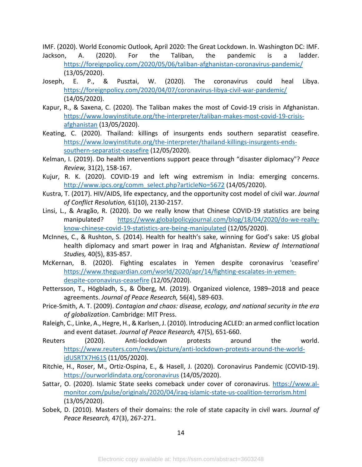IMF. (2020). World Economic Outlook, April 2020: The Great Lockdown. In. Washington DC: IMF. Jackson, A. (2020). For the Taliban, the pandemic is a ladder. <https://foreignpolicy.com/2020/05/06/taliban-afghanistan-coronavirus-pandemic/> (13/05/2020).

- Joseph, E. P., & Pusztai, W. (2020). The coronavirus could heal Libya. <https://foreignpolicy.com/2020/04/07/coronavirus-libya-civil-war-pandemic/> (14/05/2020).
- Kapur, R., & Saxena, C. (2020). The Taliban makes the most of Covid-19 crisis in Afghanistan. [https://www.lowyinstitute.org/the-interpreter/taliban-makes-most-covid-19-crisis](https://www.lowyinstitute.org/the-interpreter/taliban-makes-most-covid-19-crisis-afghanistan)[afghanistan](https://www.lowyinstitute.org/the-interpreter/taliban-makes-most-covid-19-crisis-afghanistan) (13/05/2020).
- Keating, C. (2020). Thailand: killings of insurgents ends southern separatist ceasefire. [https://www.lowyinstitute.org/the-interpreter/thailand-killings-insurgents-ends](https://www.lowyinstitute.org/the-interpreter/thailand-killings-insurgents-ends-southern-separatist-ceasefire)[southern-separatist-ceasefire](https://www.lowyinstitute.org/the-interpreter/thailand-killings-insurgents-ends-southern-separatist-ceasefire) (12/05/2020).
- Kelman, I. (2019). Do health interventions support peace through "disaster diplomacy"? *Peace Review,* 31(2), 158-167.
- Kujur, R. K. (2020). COVID-19 and left wing extremism in India: emerging concerns. [http://www.ipcs.org/comm\\_select.php?articleNo=5672](http://www.ipcs.org/comm_select.php?articleNo=5672) (14/05/2020).
- Kustra, T. (2017). HIV/AIDS, life expectancy, and the opportunity cost model of civil war. *Journal of Conflict Resolution,* 61(10), 2130-2157.
- Linsi, L., & Aragão, R. (2020). Do we really know that Chinese COVID-19 statistics are being manipulated? [https://www.globalpolicyjournal.com/blog/18/04/2020/do-we-really](https://www.globalpolicyjournal.com/blog/18/04/2020/do-we-really-know-chinese-covid-19-statistics-are-being-manipulated)[know-chinese-covid-19-statistics-are-being-manipulated](https://www.globalpolicyjournal.com/blog/18/04/2020/do-we-really-know-chinese-covid-19-statistics-are-being-manipulated) (12/05/2020).
- McInnes, C., & Rushton, S. (2014). Health for health's sake, winning for God's sake: US global health diplomacy and smart power in Iraq and Afghanistan. *Review of International Studies,* 40(5), 835-857.
- McKernan, B. (2020). Fighting escalates in Yemen despite coronavirus 'ceasefire' [https://www.theguardian.com/world/2020/apr/14/fighting-escalates-in-yemen](https://www.theguardian.com/world/2020/apr/14/fighting-escalates-in-yemen-despite-coronavirus-ceasefire)[despite-coronavirus-ceasefire](https://www.theguardian.com/world/2020/apr/14/fighting-escalates-in-yemen-despite-coronavirus-ceasefire) (12/05/2020).
- Pettersson, T., Högbladh, S., & Öberg, M. (2019). Organized violence, 1989–2018 and peace agreements. *Journal of Peace Research,* 56(4), 589-603.
- Price-Smith, A. T. (2009). *Contagion and chaos: disease, ecology, and national security in the era of globalization*. Cambridge: MIT Press.
- Raleigh, C., Linke, A., Hegre, H., & Karlsen, J. (2010). Introducing ACLED: an armed conflict location and event dataset. *Journal of Peace Research,* 47(5), 651-660.
- Reuters (2020). Anti-lockdown protests around the world. [https://www.reuters.com/news/picture/anti-lockdown-protests-around-the-world](https://www.reuters.com/news/picture/anti-lockdown-protests-around-the-world-idUSRTX7H61S)[idUSRTX7H61S](https://www.reuters.com/news/picture/anti-lockdown-protests-around-the-world-idUSRTX7H61S) (11/05/2020).
- Ritchie, H., Roser, M., Ortiz-Ospina, E., & Hasell, J. (2020). Coronavirus Pandemic (COVID-19). <https://ourworldindata.org/coronavirus> (14/05/2020).
- Sattar, O. (2020). Islamic State seeks comeback under cover of coronavirus. [https://www.al](https://www.al-monitor.com/pulse/originals/2020/04/iraq-islamic-state-us-coalition-terrorism.html)[monitor.com/pulse/originals/2020/04/iraq-islamic-state-us-coalition-terrorism.html](https://www.al-monitor.com/pulse/originals/2020/04/iraq-islamic-state-us-coalition-terrorism.html) (13/05/2020).
- Sobek, D. (2010). Masters of their domains: the role of state capacity in civil wars. *Journal of Peace Research,* 47(3), 267-271.